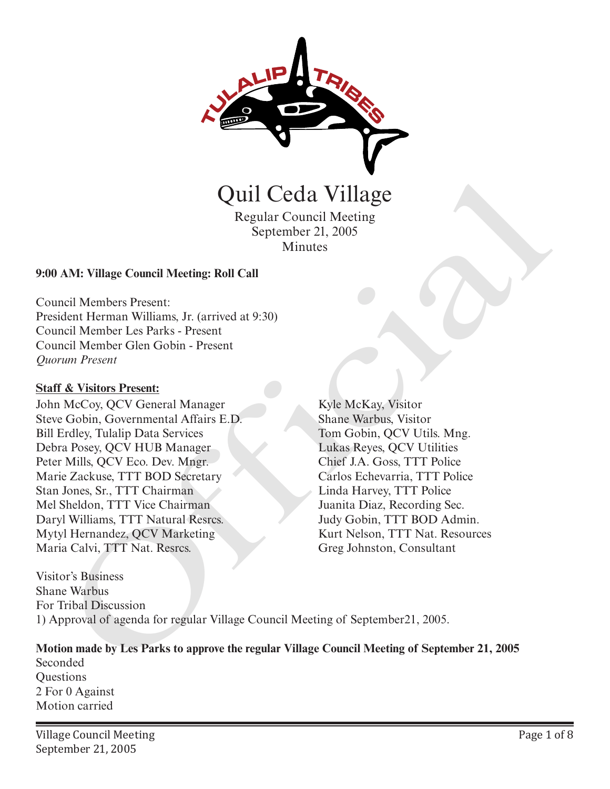

Quil Ceda Village

Regular Council Meeting September 21, 2005 Minutes

#### **9:00 AM: Village Council Meeting: Roll Call**

Council Members Present: President Herman Williams, Jr. (arrived at 9:30) Council Member Les Parks - Present Council Member Glen Gobin - Present *Quorum Present*

#### **Staff & Visitors Present:**

John McCoy, QCV General Manager Steve Gobin, Governmental Affairs E.D. Bill Erdley, Tulalip Data Services Debra Posey, QCV HUB Manager Peter Mills, QCV Eco. Dev. Mngr. Marie Zackuse, TTT BOD Secretary Stan Jones, Sr., TTT Chairman Mel Sheldon, TTT Vice Chairman Daryl Williams, TTT Natural Resrcs. Mytyl Hernandez, QCV Marketing Maria Calvi, TTT Nat. Resrcs. **CHAT CONTROLLER CONSUMMERENT**<br>
Regular Council Meeting<br>
September 21, 2005<br>
Minutes<br>
September 21, 2005<br>
Minutes<br>
AM: Village Council Meeting: Roll Call<br>
and Member Gien Gobin - Present<br>
cell Member Gien Gobin - Present<br>

Kyle McKay, Visitor Shane Warbus, Visitor Tom Gobin, QCV Utils. Mng. Lukas Reyes, QCV Utilities Chief J.A. Goss, TTT Police Carlos Echevarria, TTT Police Linda Harvey, TTT Police Juanita Diaz, Recording Sec. Judy Gobin, TTT BOD Admin. Kurt Nelson, TTT Nat. Resources

Visitor's Business Shane Warbus For Tribal Discussion 1) Approval of agenda for regular Village Council Meeting of September21, 2005.

**Motion made by Les Parks to approve the regular Village Council Meeting of September 21, 2005**  Seconded **Ouestions** 2 For 0 Against Motion carried

Village Council Meeting September 21, 2005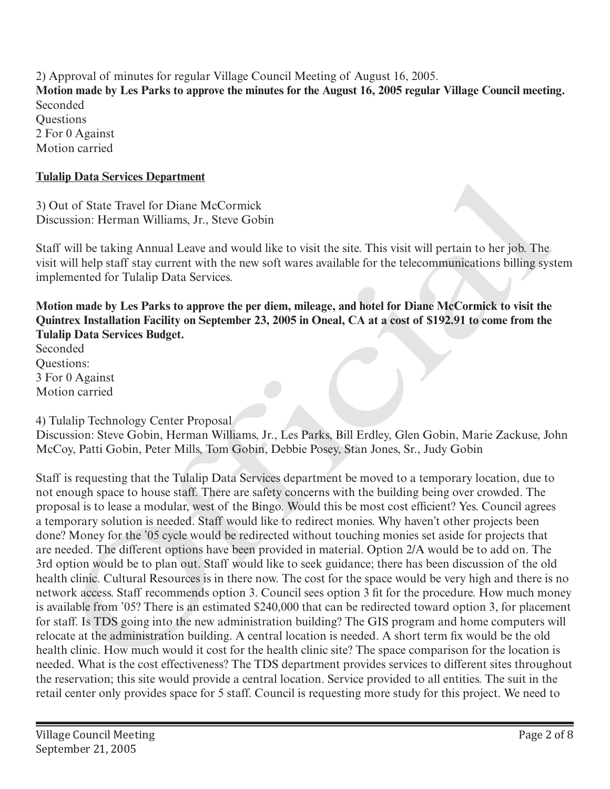2) Approval of minutes for regular Village Council Meeting of August 16, 2005. **Motion made by Les Parks to approve the minutes for the August 16, 2005 regular Village Council meeting.**  Seconded **Ouestions** 2 For 0 Against Motion carried

#### **Tulalip Data Services Department**

3) Out of State Travel for Diane McCormick Discussion: Herman Williams, Jr., Steve Gobin

Staff will be taking Annual Leave and would like to visit the site. This visit will pertain to her job. The visit will help staff stay current with the new soft wares available for the telecommunications billing system implemented for Tulalip Data Services.

**Motion made by Les Parks to approve the per diem, mileage, and hotel for Diane McCormick to visit the Quintrex Installation Facility on September 23, 2005 in Oneal, CA at a cost of \$192.91 to come from the Tulalip Data Services Budget.**

Seconded Questions: 3 For 0 Against Motion carried

4) Tulalip Technology Center Proposal

Discussion: Steve Gobin, Herman Williams, Jr., Les Parks, Bill Erdley, Glen Gobin, Marie Zackuse, John McCoy, Patti Gobin, Peter Mills, Tom Gobin, Debbie Posey, Stan Jones, Sr., Judy Gobin

Staff is requesting that the Tulalip Data Services department be moved to a temporary location, due to not enough space to house staff. There are safety concerns with the building being over crowded. The proposal is to lease a modular, west of the Bingo. Would this be most cost efficient? Yes. Council agrees a temporary solution is needed. Staff would like to redirect monies. Why haven't other projects been done? Money for the '05 cycle would be redirected without touching monies set aside for projects that are needed. The different options have been provided in material. Option 2/A would be to add on. The 3rd option would be to plan out. Staff would like to seek guidance; there has been discussion of the old health clinic. Cultural Resources is in there now. The cost for the space would be very high and there is no network access. Staff recommends option 3. Council sees option 3 fit for the procedure. How much money is available from '05? There is an estimated \$240,000 that can be redirected toward option 3, for placement for staff. Is TDS going into the new administration building? The GIS program and home computers will relocate at the administration building. A central location is needed. A short term fix would be the old health clinic. How much would it cost for the health clinic site? The space comparison for the location is needed. What is the cost effectiveness? The TDS department provides services to different sites throughout the reservation; this site would provide a central location. Service provided to all entities. The suit in the retail center only provides space for 5 staff. Council is requesting more study for this project. We need to In Data Services Department<br>
at of State Travel Gro Dians McCormick<br>
ussion: Herman Willims, Jr., Steve Gobin<br>
will be taking Annual Leave and would like to visit the site. This visit will pertain to ber job. The<br>
will hel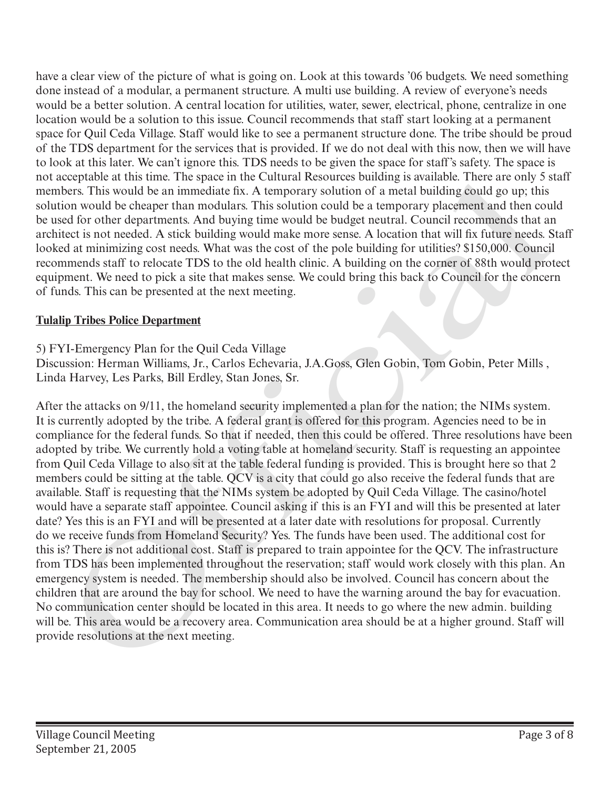have a clear view of the picture of what is going on. Look at this towards '06 budgets. We need something done instead of a modular, a permanent structure. A multi use building. A review of everyone's needs would be a better solution. A central location for utilities, water, sewer, electrical, phone, centralize in one location would be a solution to this issue. Council recommends that staff start looking at a permanent space for Quil Ceda Village. Staff would like to see a permanent structure done. The tribe should be proud of the TDS department for the services that is provided. If we do not deal with this now, then we will have to look at this later. We can't ignore this. TDS needs to be given the space for staff's safety. The space is not acceptable at this time. The space in the Cultural Resources building is available. There are only 5 staff members. This would be an immediate fix. A temporary solution of a metal building could go up; this solution would be cheaper than modulars. This solution could be a temporary placement and then could be used for other departments. And buying time would be budget neutral. Council recommends that an architect is not needed. A stick building would make more sense. A location that will fix future needs. Staff looked at minimizing cost needs. What was the cost of the pole building for utilities? \$150,000. Council recommends staff to relocate TDS to the old health clinic. A building on the corner of 88th would protect equipment. We need to pick a site that makes sense. We could bring this back to Council for the concern of funds. This can be presented at the next meeting.

# **Tulalip Tribes Police Department**

5) FYI-Emergency Plan for the Quil Ceda Village

Discussion: Herman Williams, Jr., Carlos Echevaria, J.A.Goss, Glen Gobin, Tom Gobin, Peter Mills , Linda Harvey, Les Parks, Bill Erdley, Stan Jones, Sr.

After the attacks on 9/11, the homeland security implemented a plan for the nation; the NIMs system. It is currently adopted by the tribe. A federal grant is offered for this program. Agencies need to be in compliance for the federal funds. So that if needed, then this could be offered. Three resolutions have been adopted by tribe. We currently hold a voting table at homeland security. Staff is requesting an appointee from Quil Ceda Village to also sit at the table federal funding is provided. This is brought here so that 2 members could be sitting at the table. QCV is a city that could go also receive the federal funds that are available. Staff is requesting that the NIMs system be adopted by Quil Ceda Village. The casino/hotel would have a separate staff appointee. Council asking if this is an FYI and will this be presented at later date? Yes this is an FYI and will be presented at a later date with resolutions for proposal. Currently do we receive funds from Homeland Security? Yes. The funds have been used. The additional cost for this is? There is not additional cost. Staff is prepared to train appointee for the QCV. The infrastructure from TDS has been implemented throughout the reservation; staff would work closely with this plan. An emergency system is needed. The membership should also be involved. Council has concern about the children that are around the bay for school. We need to have the warning around the bay for evacuation. No communication center should be located in this area. It needs to go where the new admin. building will be. This area would be a recovery area. Communication area should be at a higher ground. Staff will not acceptable at this time. In es pape in the Cultural Resolutes bulleng is available. The next mean for the next measure in the solution would be change in the next measure in the solution would be the near only as solut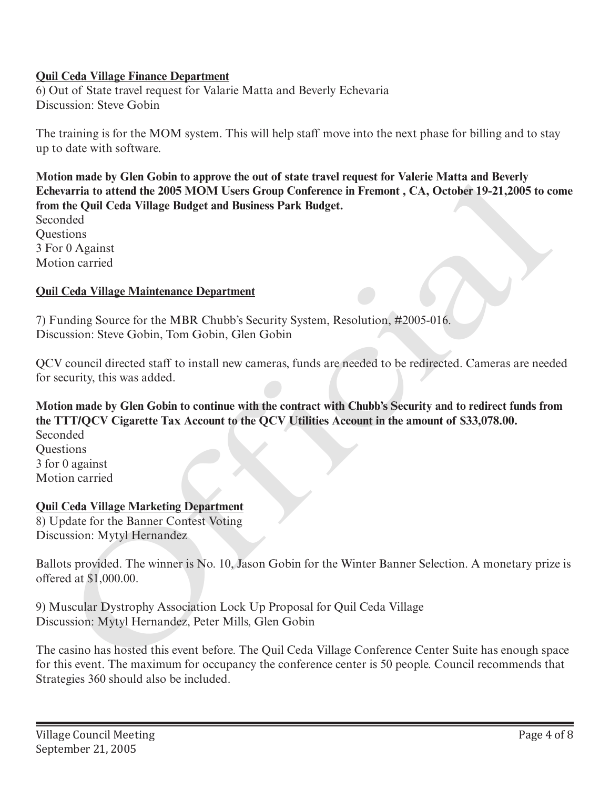#### **Quil Ceda Village Finance Department**

6) Out of State travel request for Valarie Matta and Beverly Echevaria Discussion: Steve Gobin

The training is for the MOM system. This will help staff move into the next phase for billing and to stay up to date with software.

**Motion made by Glen Gobin to approve the out of state travel request for Valerie Matta and Beverly Echevarria to attend the 2005 MOM Users Group Conference in Fremont , CA, October 19-21,2005 to come from the Quil Ceda Village Budget and Business Park Budget.** on mane by Geth Golom to approve the out of state traver requires they change that man tensor that an experiment to attent the 2005 MOM Users Group Conference in Fremort , CA, October 19-21,2005 to chemicanism and the Quil

Seconded Questions 3 For 0 Against Motion carried

#### **Quil Ceda Village Maintenance Department**

7) Funding Source for the MBR Chubb's Security System, Resolution, #2005-016. Discussion: Steve Gobin, Tom Gobin, Glen Gobin

QCV council directed staff to install new cameras, funds are needed to be redirected. Cameras are needed for security, this was added.

**Motion made by Glen Gobin to continue with the contract with Chubb's Security and to redirect funds from the TTT/QCV Cigarette Tax Account to the QCV Utilities Account in the amount of \$33,078.00.**

Seconded **Ouestions** 3 for 0 against Motion carried

## **Quil Ceda Village Marketing Department**

8) Update for the Banner Contest Voting Discussion: Mytyl Hernandez

Ballots provided. The winner is No. 10, Jason Gobin for the Winter Banner Selection. A monetary prize is offered at \$1,000.00.

9) Muscular Dystrophy Association Lock Up Proposal for Quil Ceda Village Discussion: Mytyl Hernandez, Peter Mills, Glen Gobin

The casino has hosted this event before. The Quil Ceda Village Conference Center Suite has enough space for this event. The maximum for occupancy the conference center is 50 people. Council recommends that Strategies 360 should also be included.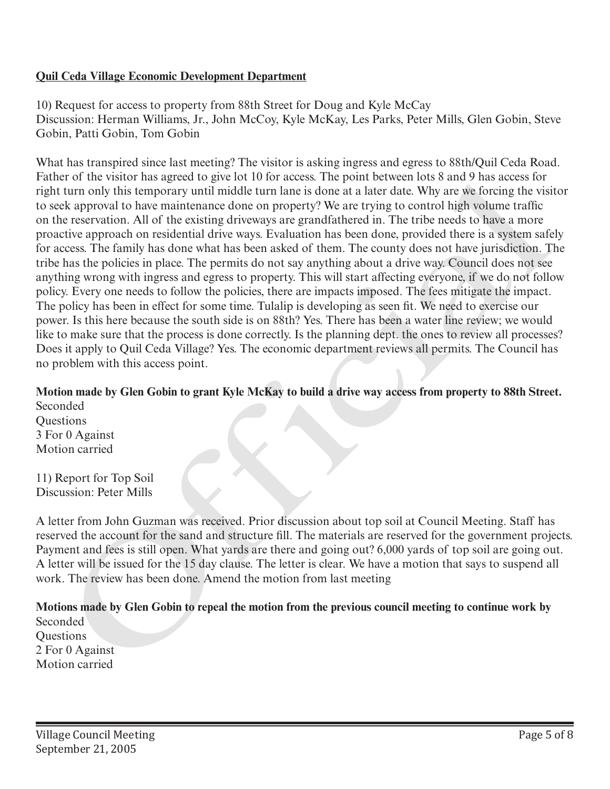#### **Quil Ceda Village Economic Development Department**

10) Request for access to property from 88th Street for Doug and Kyle McCay Discussion: Herman Williams, Jr., John McCoy, Kyle McKay, Les Parks, Peter Mills, Glen Gobin, Steve Gobin, Patti Gobin, Tom Gobin

What has transpired since last meeting? The visitor is asking ingress and egress to 88th/Quil Ceda Road. Father of the visitor has agreed to give lot 10 for access. The point between lots 8 and 9 has access for right turn only this temporary until middle turn lane is done at a later date. Why are we forcing the visitor to seek approval to have maintenance done on property? We are trying to control high volume traffic on the reservation. All of the existing driveways are grandfathered in. The tribe needs to have a more proactive approach on residential drive ways. Evaluation has been done, provided there is a system safely for access. The family has done what has been asked of them. The county does not have jurisdiction. The tribe has the policies in place. The permits do not say anything about a drive way. Council does not see anything wrong with ingress and egress to property. This will start affecting everyone, if we do not follow policy. Every one needs to follow the policies, there are impacts imposed. The fees mitigate the impact. The policy has been in effect for some time. Tulalip is developing as seen fit. We need to exercise our power. Is this here because the south side is on 88th? Yes. There has been a water line review; we would like to make sure that the process is done correctly. Is the planning dept. the ones to review all processes? Does it apply to Quil Ceda Village? Yes. The economic department reviews all permits. The Council has no problem with this access point. rane of the Vastor mas agrees to give ior tu for access 1 ine point netween lots wan a was access<br>replit turn only this improvary until middle turn hane is done at a later date. Why are we forcing the visit<br>right turn only

## **Motion made by Glen Gobin to grant Kyle McKay to build a drive way access from property to 88th Street.**

Seconded **Ouestions** 3 For 0 Against Motion carried

11) Report for Top Soil Discussion: Peter Mills

A letter from John Guzman was received. Prior discussion about top soil at Council Meeting. Staff has reserved the account for the sand and structure fill. The materials are reserved for the government projects. Payment and fees is still open. What yards are there and going out? 6,000 yards of top soil are going out. A letter will be issued for the 15 day clause. The letter is clear. We have a motion that says to suspend all work. The review has been done. Amend the motion from last meeting

**Motions made by Glen Gobin to repeal the motion from the previous council meeting to continue work by**

Seconded **Ouestions** 2 For 0 Against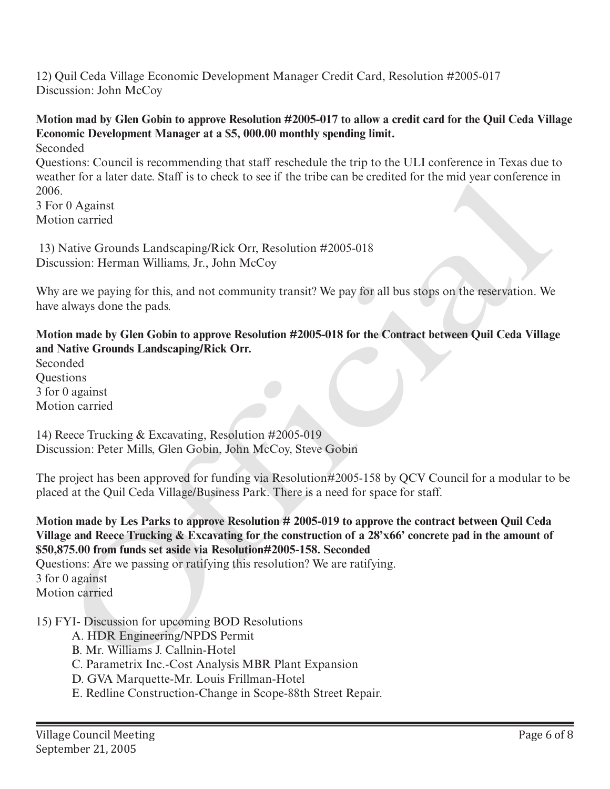12) Quil Ceda Village Economic Development Manager Credit Card, Resolution #2005-017 Discussion: John McCoy

# **Motion mad by Glen Gobin to approve Resolution #2005-017 to allow a credit card for the Quil Ceda Village Economic Development Manager at a \$5, 000.00 monthly spending limit.**

Seconded

Questions: Council is recommending that staff reschedule the trip to the ULI conference in Texas due to weather for a later date. Staff is to check to see if the tribe can be credited for the mid year conference in 2006.

3 For 0 Against Motion carried

 13) Native Grounds Landscaping/Rick Orr, Resolution #2005-018 Discussion: Herman Williams, Jr., John McCoy

Why are we paying for this, and not community transit? We pay for all bus stops on the reservation. We have always done the pads.

**Motion made by Glen Gobin to approve Resolution #2005-018 for the Contract between Quil Ceda Village and Native Grounds Landscaping/Rick Orr.**

Seconded Questions 3 for 0 against Motion carried

14) Reece Trucking & Excavating, Resolution #2005-019 Discussion: Peter Mills, Glen Gobin, John McCoy, Steve Gobin

The project has been approved for funding via Resolution#2005-158 by QCV Council for a modular to be placed at the Quil Ceda Village/Business Park. There is a need for space for staff.

**Motion made by Les Parks to approve Resolution # 2005-019 to approve the contract between Quil Ceda Village and Reece Trucking & Excavating for the construction of a 28'x66' concrete pad in the amount of \$50,875.00 from funds set aside via Resolution#2005-158. Seconded** For a later date. Staff is to eneck to see if the trine can be credited tor the mid year contenence in O Against<br>
Of against the Coronal standscaping/Rick Orr, Resolution #2005-018<br>
Of against Coronal standscaping/Rick Orr

Questions: Are we passing or ratifying this resolution? We are ratifying.

3 for 0 against

Motion carried

15) FYI- Discussion for upcoming BOD Resolutions

- A. HDR Engineering/NPDS Permit
- B. Mr. Williams J. Callnin-Hotel
- C. Parametrix Inc.-Cost Analysis MBR Plant Expansion
- D. GVA Marquette-Mr. Louis Frillman-Hotel
- E. Redline Construction-Change in Scope-88th Street Repair.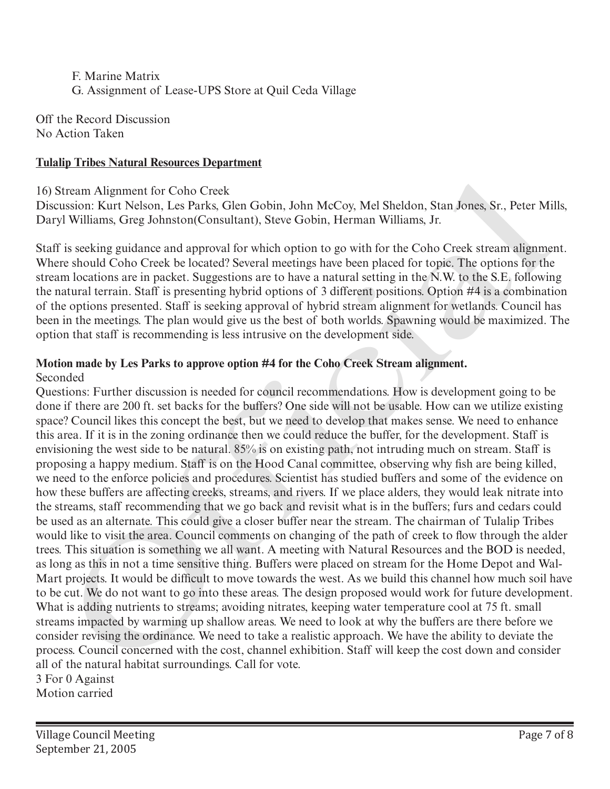F. Marine Matrix G. Assignment of Lease-UPS Store at Quil Ceda Village

Off the Record Discussion No Action Taken

#### **Tulalip Tribes Natural Resources Department**

#### 16) Stream Alignment for Coho Creek

Discussion: Kurt Nelson, Les Parks, Glen Gobin, John McCoy, Mel Sheldon, Stan Jones, Sr., Peter Mills, Daryl Williams, Greg Johnston(Consultant), Steve Gobin, Herman Williams, Jr.

Staff is seeking guidance and approval for which option to go with for the Coho Creek stream alignment. Where should Coho Creek be located? Several meetings have been placed for topic. The options for the stream locations are in packet. Suggestions are to have a natural setting in the N.W. to the S.E. following the natural terrain. Staff is presenting hybrid options of 3 different positions. Option #4 is a combination of the options presented. Staff is seeking approval of hybrid stream alignment for wetlands. Council has been in the meetings. The plan would give us the best of both worlds. Spawning would be maximized. The option that staff is recommending is less intrusive on the development side.

#### **Motion made by Les Parks to approve option #4 for the Coho Creek Stream alignment.**

#### Seconded

Questions: Further discussion is needed for council recommendations. How is development going to be done if there are 200 ft. set backs for the buffers? One side will not be usable. How can we utilize existing space? Council likes this concept the best, but we need to develop that makes sense. We need to enhance this area. If it is in the zoning ordinance then we could reduce the buffer, for the development. Staff is envisioning the west side to be natural. 85% is on existing path, not intruding much on stream. Staff is proposing a happy medium. Staff is on the Hood Canal committee, observing why fish are being killed, we need to the enforce policies and procedures. Scientist has studied buffers and some of the evidence on how these buffers are affecting creeks, streams, and rivers. If we place alders, they would leak nitrate into the streams, staff recommending that we go back and revisit what is in the buffers; furs and cedars could be used as an alternate. This could give a closer buffer near the stream. The chairman of Tulalip Tribes would like to visit the area. Council comments on changing of the path of creek to flow through the alder trees. This situation is something we all want. A meeting with Natural Resources and the BOD is needed, as long as this in not a time sensitive thing. Buffers were placed on stream for the Home Depot and Wal-Mart projects. It would be difficult to move towards the west. As we build this channel how much soil have to be cut. We do not want to go into these areas. The design proposed would work for future development. What is adding nutrients to streams; avoiding nitrates, keeping water temperature cool at 75 ft. small streams impacted by warming up shallow areas. We need to look at why the buffers are there before we consider revising the ordinance. We need to take a realistic approach. We have the ability to deviate the process. Council concerned with the cost, channel exhibition. Staff will keep the cost down and consider all of the natural habitat surroundings. Call for vote. tiream Alignment for Coho Creek<br>
stream Alignment for Coho Creek<br>
stracm Stan John McCoy, Mel Sheldon, Stan Jones, Sr., Peter Mi<br>
Stan Stan Jones, Gr., Teter Mi Williams, Greg Johnston(Consultant), Steve Gobin, Herman Will

3 For 0 Against

Motion carried